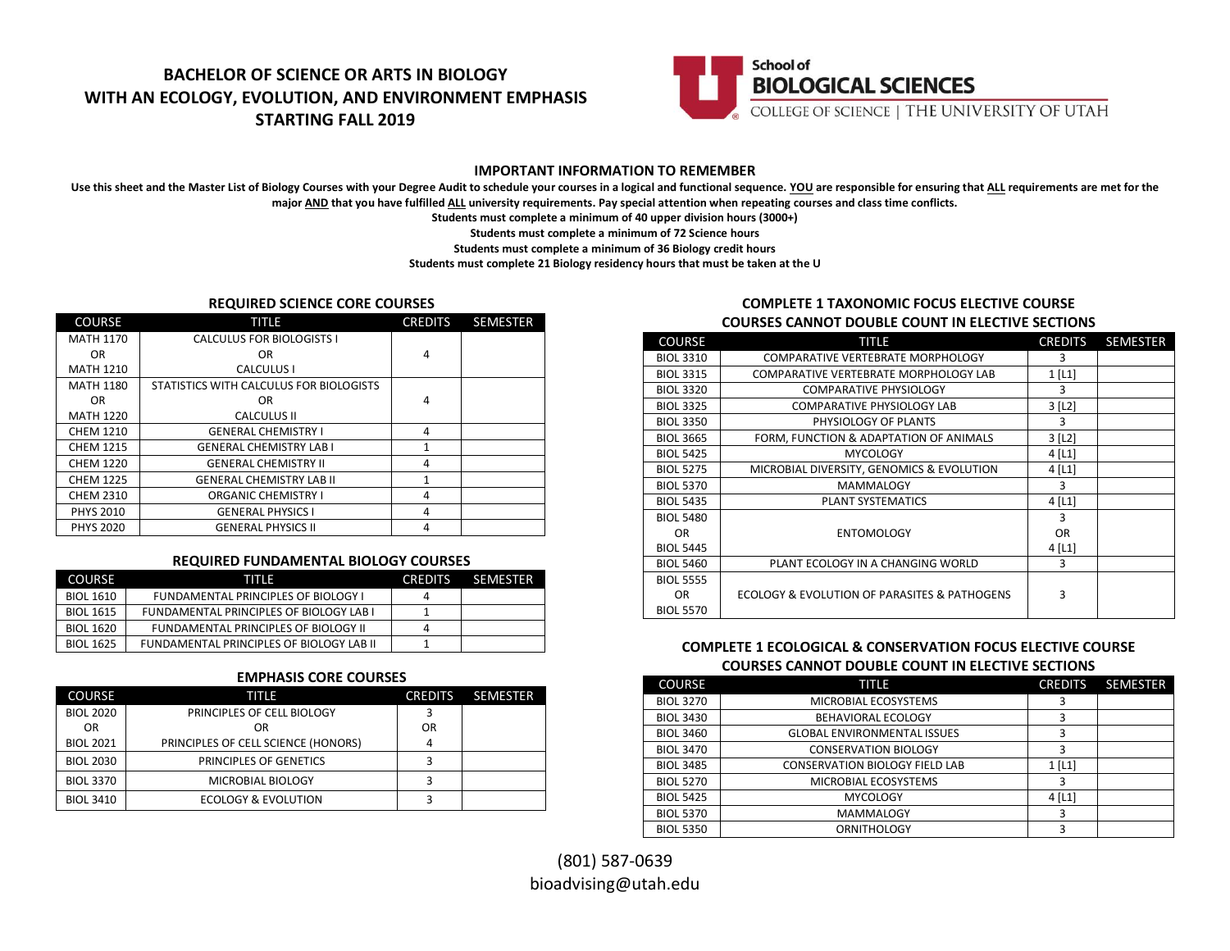



### **IMPORTANT INFORMATION TO REMEMBER**

Use this sheet and the Master List of Biology Courses with your Degree Audit to schedule your courses in a logical and functional sequence. YOU are responsible for ensuring that ALL requirements are met for the **major AND that you have fulfilled ALL university requirements. Pay special attention when repeating courses and class time conflicts.**

**Students must complete a minimum of 40 upper division hours (3000+)**

**Students must complete a minimum of 72 Science hours**

**Students must complete a minimum of 36 Biology credit hours**

**Students must complete 21 Biology residency hours that must be taken at the U**

### **REQUIRED SCIENCE CORE COURSES**

| <b>COURSE</b>    | TITLE                                   | <b>CREDITS</b> | <b>SEMESTER</b> |
|------------------|-----------------------------------------|----------------|-----------------|
| <b>MATH 1170</b> | <b>CALCULUS FOR BIOLOGISTS I</b>        |                |                 |
| OR.              | OR                                      | 4              |                 |
| <b>MATH 1210</b> | CALCULUS I                              |                |                 |
| <b>MATH 1180</b> | STATISTICS WITH CALCULUS FOR BIOLOGISTS |                |                 |
| OR.              | OR.                                     | 4              |                 |
| <b>MATH 1220</b> | <b>CALCULUS II</b>                      |                |                 |
| <b>CHEM 1210</b> | <b>GENERAL CHEMISTRY I</b>              | 4              |                 |
| <b>CHEM 1215</b> | <b>GENERAL CHEMISTRY LAB I</b>          | 1              |                 |
| <b>CHEM 1220</b> | <b>GENERAL CHEMISTRY II</b>             | 4              |                 |
| <b>CHEM 1225</b> | <b>GENERAL CHEMISTRY LAB II</b>         | 1              |                 |
| <b>CHEM 2310</b> | <b>ORGANIC CHEMISTRY I</b>              | 4              |                 |
| <b>PHYS 2010</b> | <b>GENERAL PHYSICS I</b>                | 4              |                 |
| <b>PHYS 2020</b> | <b>GENERAL PHYSICS II</b>               | 4              |                 |

#### **REQUIRED FUNDAMENTAL BIOLOGY COURSES**

| <b>COURSE</b>    | TITIE                                          | <b>CREDITS</b> | <b>SEMESTER</b> |
|------------------|------------------------------------------------|----------------|-----------------|
| <b>BIOL 1610</b> | <b>FUNDAMENTAL PRINCIPLES OF BIOLOGY I</b>     | 4              |                 |
| <b>BIOL 1615</b> | <b>FUNDAMENTAL PRINCIPLES OF BIOLOGY LAB I</b> |                |                 |
| <b>BIOL 1620</b> | FUNDAMENTAL PRINCIPLES OF BIOLOGY II           | 4              |                 |
| <b>BIOL 1625</b> | FUNDAMENTAL PRINCIPLES OF BIOLOGY LAB II       |                |                 |

### **EMPHASIS CORE COURSES**

| <b>COURSE</b>    | TITLE                               | <b>CREDITS</b> | <b>SEMESTER</b> |
|------------------|-------------------------------------|----------------|-----------------|
| <b>BIOL 2020</b> | PRINCIPLES OF CELL BIOLOGY          |                |                 |
| <b>OR</b>        | OR                                  | OR             |                 |
| <b>BIOL 2021</b> | PRINCIPLES OF CELL SCIENCE (HONORS) |                |                 |
| <b>BIOL 2030</b> | <b>PRINCIPLES OF GENETICS</b>       |                |                 |
| <b>BIOL 3370</b> | MICROBIAL BIOLOGY                   |                |                 |
| <b>BIOL 3410</b> | ECOLOGY & EVOLUTION                 |                |                 |

## **COMPLETE 1 TAXONOMIC FOCUS ELECTIVE COURSE COURSES CANNOT DOUBLE COUNT IN ELECTIVE SECTIONS**

| <b>COURSE</b>    | TITLE                                        | <b>CREDITS</b>        | <b>SEMESTER</b> |
|------------------|----------------------------------------------|-----------------------|-----------------|
| <b>BIOL 3310</b> | <b>COMPARATIVE VERTEBRATE MORPHOLOGY</b>     | 3                     |                 |
| <b>BIOL 3315</b> | COMPARATIVE VERTEBRATE MORPHOLOGY LAB        | $1$ [L1]              |                 |
| <b>BIOL 3320</b> | <b>COMPARATIVE PHYSIOLOGY</b>                | 3                     |                 |
| <b>BIOL 3325</b> | <b>COMPARATIVE PHYSIOLOGY LAB</b>            | $3$ [L <sub>2</sub> ] |                 |
| <b>BIOL 3350</b> | PHYSIOLOGY OF PLANTS                         | 3                     |                 |
| <b>BIOL 3665</b> | FORM, FUNCTION & ADAPTATION OF ANIMALS       | $3$ [L <sub>2</sub> ] |                 |
| <b>BIOL 5425</b> | <b>MYCOLOGY</b>                              | $4$ [L1]              |                 |
| <b>BIOL 5275</b> | MICROBIAL DIVERSITY, GENOMICS & EVOLUTION    | $4$ [L1]              |                 |
| <b>BIOL 5370</b> | <b>MAMMALOGY</b>                             | 3                     |                 |
| <b>BIOL 5435</b> | <b>PLANT SYSTEMATICS</b>                     | $4$ [L1]              |                 |
| <b>BIOL 5480</b> |                                              | 3                     |                 |
| OR.              | <b>ENTOMOLOGY</b>                            | <b>OR</b>             |                 |
| <b>BIOL 5445</b> |                                              | $4$ [L1]              |                 |
| <b>BIOL 5460</b> | PLANT ECOLOGY IN A CHANGING WORLD            | 3                     |                 |
| <b>BIOL 5555</b> |                                              |                       |                 |
| OR.              | ECOLOGY & EVOLUTION OF PARASITES & PATHOGENS | 3                     |                 |
| <b>BIOL 5570</b> |                                              |                       |                 |

# **COMPLETE 1 ECOLOGICAL & CONSERVATION FOCUS ELECTIVE COURSE COURSES CANNOT DOUBLE COUNT IN ELECTIVE SECTIONS**

| <b>COURSE</b>    | TITLE                                 | <b>CREDITS</b> | <b>SEMESTER</b> |
|------------------|---------------------------------------|----------------|-----------------|
| <b>BIOL 3270</b> | MICROBIAL ECOSYSTEMS                  |                |                 |
| <b>BIOL 3430</b> | <b>BEHAVIORAL ECOLOGY</b>             | 3              |                 |
| <b>BIOL 3460</b> | <b>GLOBAL ENVIRONMENTAL ISSUES</b>    | 3              |                 |
| <b>BIOL 3470</b> | <b>CONSERVATION BIOLOGY</b>           | ว              |                 |
| <b>BIOL 3485</b> | <b>CONSERVATION BIOLOGY FIELD LAB</b> | $1$ [L1]       |                 |
| <b>BIOL 5270</b> | MICROBIAL ECOSYSTEMS                  | 3              |                 |
| <b>BIOL 5425</b> | <b>MYCOLOGY</b>                       | $4$ [L1]       |                 |
| <b>BIOL 5370</b> | <b>MAMMALOGY</b>                      | 3              |                 |
| <b>BIOL 5350</b> | <b>ORNITHOLOGY</b>                    | 3              |                 |

(801) 587-0639 bioadvising@utah.edu